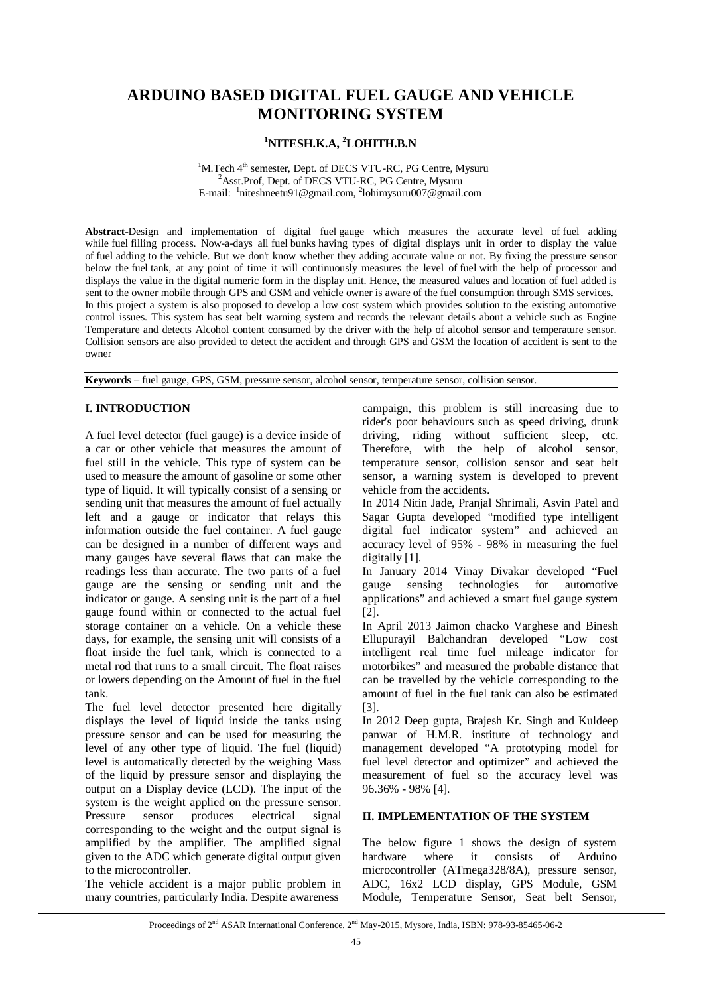# **ARDUINO BASED DIGITAL FUEL GAUGE AND VEHICLE MONITORING SYSTEM**

# **<sup>1</sup>NITESH.K.A, <sup>2</sup>LOHITH.B.N**

 $1$ M.Tech  $4<sup>th</sup>$  semester, Dept. of DECS VTU-RC, PG Centre, Mysuru <sup>2</sup>Asst.Prof, Dept. of DECS VTU-RC, PG Centre, Mysuru E-mail: <sup>1</sup>niteshneetu91@gmail.com, <sup>2</sup>lohimysuru007@gmail.com

**Abstract**-Design and implementation of digital fuel gauge which measures the accurate level of fuel adding while fuel filling process. Now-a-days all fuel bunks having types of digital displays unit in order to display the value of fuel adding to the vehicle. But we don't know whether they adding accurate value or not. By fixing the pressure sensor below the fuel tank, at any point of time it will continuously measures the level of fuel with the help of processor and displays the value in the digital numeric form in the display unit. Hence, the measured values and location of fuel added is sent to the owner mobile through GPS and GSM and vehicle owner is aware of the fuel consumption through SMS services. In this project a system is also proposed to develop a low cost system which provides solution to the existing automotive control issues. This system has seat belt warning system and records the relevant details about a vehicle such as Engine Temperature and detects Alcohol content consumed by the driver with the help of alcohol sensor and temperature sensor. Collision sensors are also provided to detect the accident and through GPS and GSM the location of accident is sent to the owner

**Keywords** – fuel gauge, GPS, GSM, pressure sensor, alcohol sensor, temperature sensor, collision sensor.

# **I. INTRODUCTION**

A fuel level detector (fuel gauge) is a device inside of a car or other vehicle that measures the amount of fuel still in the vehicle. This type of system can be used to measure the amount of gasoline or some other type of liquid. It will typically consist of a sensing or sending unit that measures the amount of fuel actually left and a gauge or indicator that relays this information outside the fuel container. A fuel gauge can be designed in a number of different ways and many gauges have several flaws that can make the readings less than accurate. The two parts of a fuel gauge are the sensing or sending unit and the indicator or gauge. A sensing unit is the part of a fuel gauge found within or connected to the actual fuel storage container on a vehicle. On a vehicle these days, for example, the sensing unit will consists of a float inside the fuel tank, which is connected to a metal rod that runs to a small circuit. The float raises or lowers depending on the Amount of fuel in the fuel tank.

The fuel level detector presented here digitally displays the level of liquid inside the tanks using pressure sensor and can be used for measuring the level of any other type of liquid. The fuel (liquid) level is automatically detected by the weighing Mass of the liquid by pressure sensor and displaying the output on a Display device (LCD). The input of the system is the weight applied on the pressure sensor. Pressure sensor produces electrical signal corresponding to the weight and the output signal is amplified by the amplifier. The amplified signal given to the ADC which generate digital output given to the microcontroller.

The vehicle accident is a major public problem in many countries, particularly India. Despite awareness

campaign, this problem is still increasing due to rider's poor behaviours such as speed driving, drunk driving, riding without sufficient sleep, etc. Therefore, with the help of alcohol sensor, temperature sensor, collision sensor and seat belt sensor, a warning system is developed to prevent vehicle from the accidents.

In 2014 Nitin Jade, Pranjal Shrimali, Asvin Patel and Sagar Gupta developed "modified type intelligent digital fuel indicator system" and achieved an accuracy level of 95% - 98% in measuring the fuel digitally [1].

In January 2014 Vinay Divakar developed "Fuel gauge sensing technologies for automotive applications" and achieved a smart fuel gauge system [2].

In April 2013 Jaimon chacko Varghese and Binesh Ellupurayil Balchandran developed "Low cost intelligent real time fuel mileage indicator for motorbikes" and measured the probable distance that can be travelled by the vehicle corresponding to the amount of fuel in the fuel tank can also be estimated [3].

In 2012 Deep gupta, Brajesh Kr. Singh and Kuldeep panwar of H.M.R. institute of technology and management developed "A prototyping model for fuel level detector and optimizer" and achieved the measurement of fuel so the accuracy level was 96.36% - 98% [4].

#### **II. IMPLEMENTATION OF THE SYSTEM**

The below figure 1 shows the design of system hardware where it consists of Arduino microcontroller (ATmega328/8A), pressure sensor, ADC, 16x2 LCD display, GPS Module, GSM Module, Temperature Sensor, Seat belt Sensor,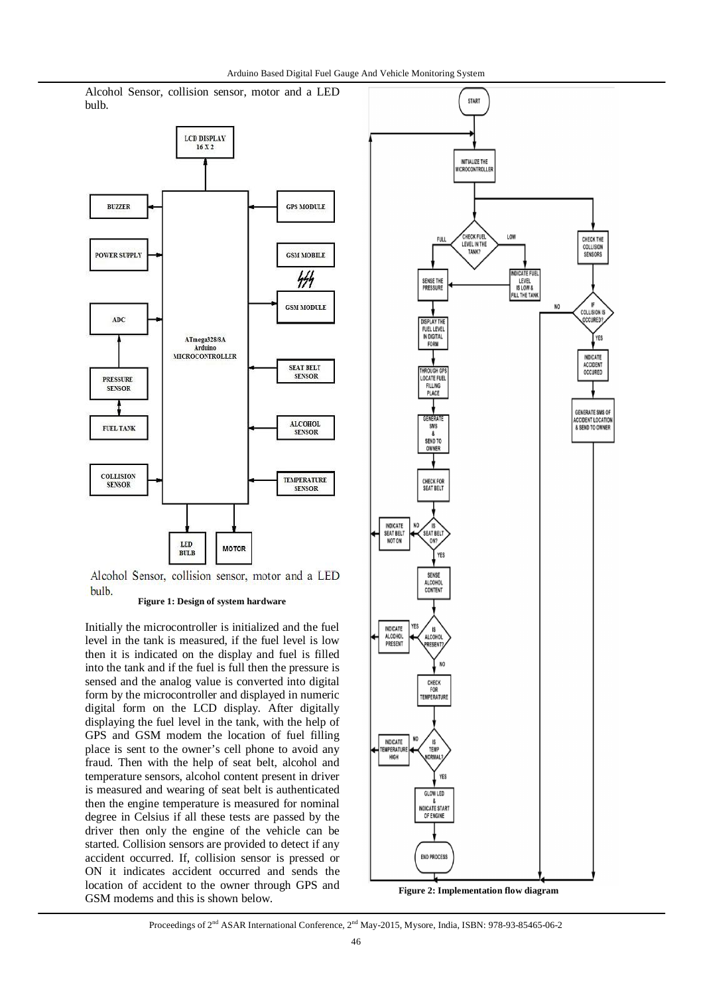Alcohol Sensor, collision sensor, motor and a LED bulb.



Alcohol Sensor, collision sensor, motor and a LED bulb.

#### **Figure 1: Design of system hardware**

Initially the microcontroller is initialized and the fuel level in the tank is measured, if the fuel level is low then it is indicated on the display and fuel is filled into the tank and if the fuel is full then the pressure is sensed and the analog value is converted into digital form by the microcontroller and displayed in numeric digital form on the LCD display. After digitally displaying the fuel level in the tank, with the help of GPS and GSM modem the location of fuel filling place is sent to the owner's cell phone to avoid any fraud. Then with the help of seat belt, alcohol and temperature sensors, alcohol content present in driver is measured and wearing of seat belt is authenticated then the engine temperature is measured for nominal degree in Celsius if all these tests are passed by the driver then only the engine of the vehicle can be started. Collision sensors are provided to detect if any accident occurred. If, collision sensor is pressed or ON it indicates accident occurred and sends the location of accident to the owner through GPS and GSM modems and this is shown below.



**Figure 2: Implementation flow diagram**

#### Proceedings of 2<sup>nd</sup> ASAR International Conference, 2<sup>nd</sup> May-2015, Mysore, India, ISBN: 978-93-85465-06-2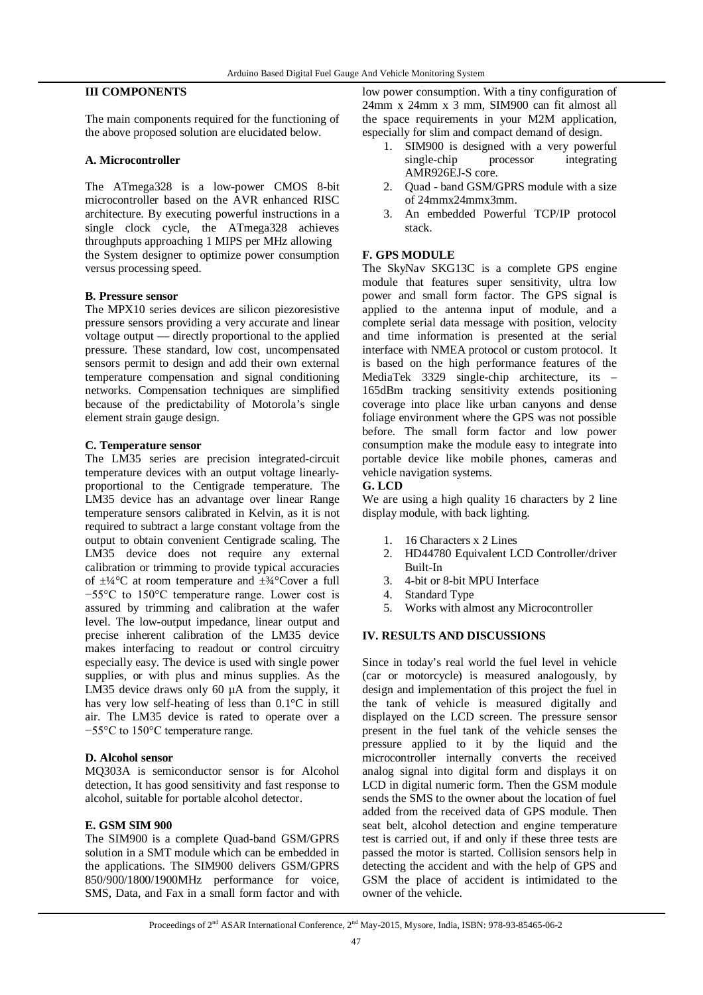# **III COMPONENTS**

The main components required for the functioning of the above proposed solution are elucidated below.

#### **A. Microcontroller**

The ATmega328 is a low-power CMOS 8-bit microcontroller based on the AVR enhanced RISC architecture. By executing powerful instructions in a single clock cycle, the ATmega328 achieves throughputs approaching 1 MIPS per MHz allowing the System designer to optimize power consumption versus processing speed.

#### **B. Pressure sensor**

The MPX10 series devices are silicon piezoresistive pressure sensors providing a very accurate and linear voltage output — directly proportional to the applied pressure. These standard, low cost, uncompensated sensors permit to design and add their own external temperature compensation and signal conditioning networks. Compensation techniques are simplified because of the predictability of Motorola's single element strain gauge design.

#### **C. Temperature sensor**

The LM35 series are precision integrated-circuit temperature devices with an output voltage linearlyproportional to the Centigrade temperature. The LM35 device has an advantage over linear Range temperature sensors calibrated in Kelvin, as it is not required to subtract a large constant voltage from the output to obtain convenient Centigrade scaling. The LM35 device does not require any external calibration or trimming to provide typical accuracies of  $\pm\frac{1}{4}$ °C at room temperature and  $\pm\frac{3}{4}$ °Cover a full −55°C to 150°C temperature range. Lower cost is assured by trimming and calibration at the wafer level. The low-output impedance, linear output and precise inherent calibration of the LM35 device makes interfacing to readout or control circuitry especially easy. The device is used with single power supplies, or with plus and minus supplies. As the LM35 device draws only 60  $\mu$ A from the supply, it has very low self-heating of less than 0.1°C in still air. The LM35 device is rated to operate over a −55°C to 150°C temperature range.

#### **D. Alcohol sensor**

MQ303A is semiconductor sensor is for Alcohol detection, It has good sensitivity and fast response to alcohol, suitable for portable alcohol detector.

#### **E. GSM SIM 900**

The SIM900 is a complete Quad-band GSM/GPRS solution in a SMT module which can be embedded in the applications. The SIM900 delivers GSM/GPRS 850/900/1800/1900MHz performance for voice, SMS, Data, and Fax in a small form factor and with

low power consumption. With a tiny configuration of 24mm x 24mm x 3 mm, SIM900 can fit almost all the space requirements in your M2M application, especially for slim and compact demand of design.

- 1. SIM900 is designed with a very powerful single-chip processor integrating AMR926EJ-S core.
- 2. Quad band GSM/GPRS module with a size of 24mmx24mmx3mm.
- 3. An embedded Powerful TCP/IP protocol stack.

### **F. GPS MODULE**

The SkyNav SKG13C is a complete GPS engine module that features super sensitivity, ultra low power and small form factor. The GPS signal is applied to the antenna input of module, and a complete serial data message with position, velocity and time information is presented at the serial interface with NMEA protocol or custom protocol. It is based on the high performance features of the MediaTek 3329 single-chip architecture, its – 165dBm tracking sensitivity extends positioning coverage into place like urban canyons and dense foliage environment where the GPS was not possible before. The small form factor and low power consumption make the module easy to integrate into portable device like mobile phones, cameras and vehicle navigation systems.

#### **G. LCD**

We are using a high quality 16 characters by 2 line display module, with back lighting.

- 1. 16 Characters x 2 Lines
- 2. HD44780 Equivalent LCD Controller/driver Built-In
- 3. 4-bit or 8-bit MPU Interface
- 4. Standard Type
- 5. Works with almost any Microcontroller

## **IV. RESULTS AND DISCUSSIONS**

Since in today's real world the fuel level in vehicle (car or motorcycle) is measured analogously, by design and implementation of this project the fuel in the tank of vehicle is measured digitally and displayed on the LCD screen. The pressure sensor present in the fuel tank of the vehicle senses the pressure applied to it by the liquid and the microcontroller internally converts the received analog signal into digital form and displays it on LCD in digital numeric form. Then the GSM module sends the SMS to the owner about the location of fuel added from the received data of GPS module. Then seat belt, alcohol detection and engine temperature test is carried out, if and only if these three tests are passed the motor is started. Collision sensors help in detecting the accident and with the help of GPS and GSM the place of accident is intimidated to the owner of the vehicle.